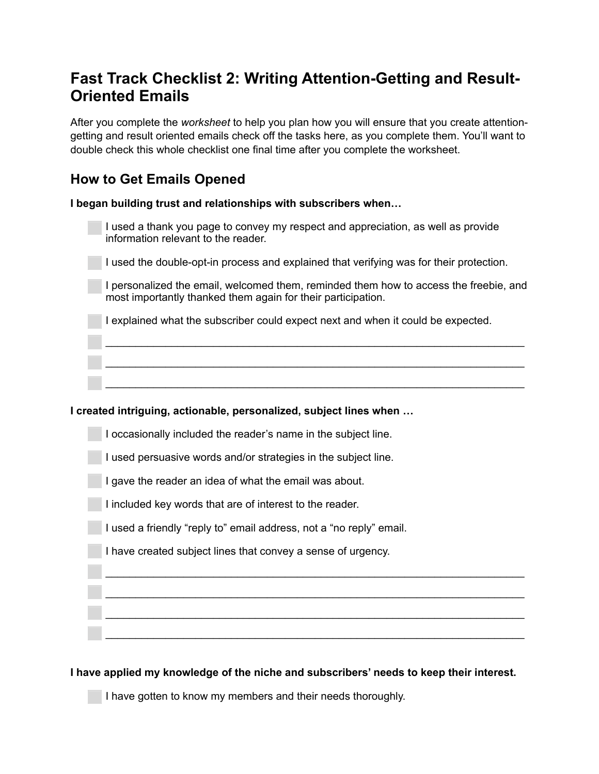# **Fast Track Checklist 2: Writing Attention-Getting and Result-Oriented Emails**

After you complete the *worksheet* to help you plan how you will ensure that you create attentiongetting and result oriented emails check off the tasks here, as you complete them. You'll want to double check this whole checklist one final time after you complete the worksheet.

## **How to Get Emails Opened**

**I began building trust and relationships with subscribers when…** 

| I used a thank you page to convey my respect and appreciation, as well as provide |
|-----------------------------------------------------------------------------------|
| information relevant to the reader.                                               |

⬜ I used the double-opt-in process and explained that verifying was for their protection.

I personalized the email, welcomed them, reminded them how to access the freebie, and most importantly thanked them again for their participation.

⬜ I explained what the subscriber could expect next and when it could be expected.

⬜ \_\_\_\_\_\_\_\_\_\_\_\_\_\_\_\_\_\_\_\_\_\_\_\_\_\_\_\_\_\_\_\_\_\_\_\_\_\_\_\_\_\_\_\_\_\_\_\_\_\_\_\_\_\_\_\_\_\_\_\_\_\_\_\_\_\_\_\_\_\_

⬜ \_\_\_\_\_\_\_\_\_\_\_\_\_\_\_\_\_\_\_\_\_\_\_\_\_\_\_\_\_\_\_\_\_\_\_\_\_\_\_\_\_\_\_\_\_\_\_\_\_\_\_\_\_\_\_\_\_\_\_\_\_\_\_\_\_\_\_\_\_\_

### **I created intriguing, actionable, personalized, subject lines when …**

⬜ I occasionally included the reader's name in the subject line.

 $\bot$  , and the set of the set of the set of the set of the set of the set of the set of the set of the set of the set of the set of the set of the set of the set of the set of the set of the set of the set of the set of t

⬜ I used persuasive words and/or strategies in the subject line.

I gave the reader an idea of what the email was about.

I included key words that are of interest to the reader.

I used a friendly "reply to" email address, not a "no reply" email.

I have created subject lines that convey a sense of urgency.

**I have applied my knowledge of the niche and subscribers' needs to keep their interest.** 

 $\bar{a}$  , and the contribution of the contribution of the contribution of the contribution of the contribution of the contribution of the contribution of the contribution of the contribution of the contribution of the con

 $\bar{a}$  , and the contribution of the contribution of the contribution of the contribution of the contribution of the contribution of the contribution of the contribution of the contribution of the contribution of the con

I have gotten to know my members and their needs thoroughly.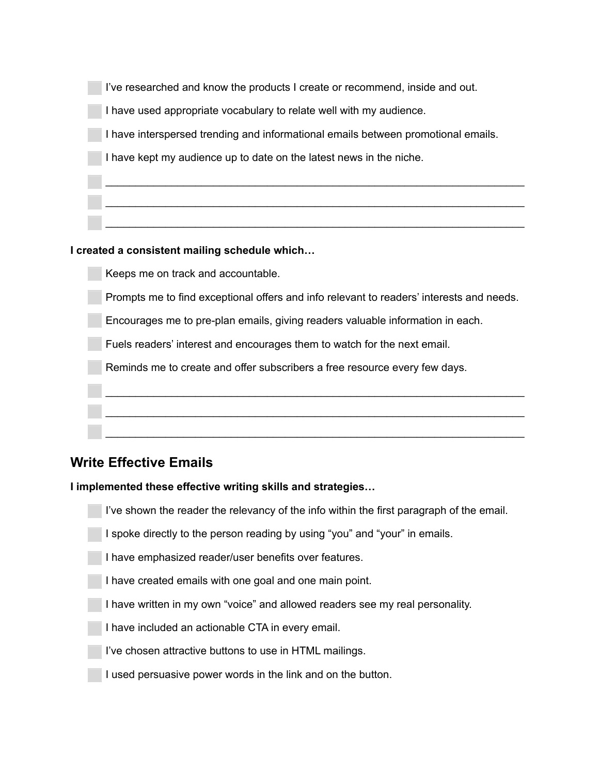| I've researched and know the products I create or recommend, inside and out.      |
|-----------------------------------------------------------------------------------|
| I have used appropriate vocabulary to relate well with my audience.               |
| I have interspersed trending and informational emails between promotional emails. |
| I have kept my audience up to date on the latest news in the niche.               |
|                                                                                   |
|                                                                                   |
|                                                                                   |

### **I created a consistent mailing schedule which…**

Keeps me on track and accountable.

⬜ Prompts me to find exceptional offers and info relevant to readers' interests and needs.

⬜ Encourages me to pre-plan emails, giving readers valuable information in each.

⬜ Fuels readers' interest and encourages them to watch for the next email.

 $\overline{a}$  , and the contribution of the contribution of the contribution of the contribution of the contribution of the contribution of the contribution of the contribution of the contribution of the contribution of the co

Reminds me to create and offer subscribers a free resource every few days.

### **Write Effective Emails**

Į

### **I implemented these effective writing skills and strategies…**

 $\bar{a}$  , and the contribution of  $\bar{a}$  , and  $\bar{a}$  , and  $\bar{a}$  , and  $\bar{a}$  , and  $\bar{a}$  , and  $\bar{a}$ 

I've shown the reader the relevancy of the info within the first paragraph of the email.

⬜ I spoke directly to the person reading by using "you" and "your" in emails.

⬜ I have emphasized reader/user benefits over features.

I have created emails with one goal and one main point.

I have written in my own "voice" and allowed readers see my real personality.

I have included an actionable CTA in every email.

I've chosen attractive buttons to use in HTML mailings.

I used persuasive power words in the link and on the button.